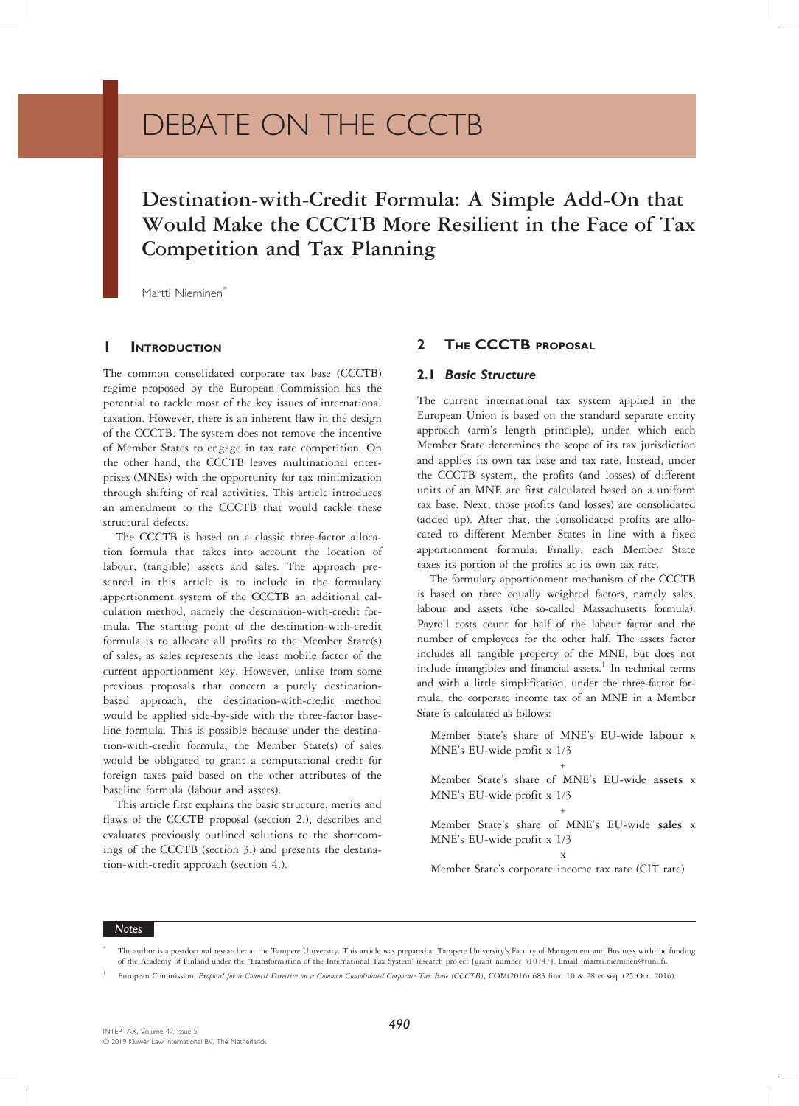# DEBATE ON THE CCCTB

# Destination-with-Credit Formula: A Simple Add-On that Competition and Tax Planning  $\Gamma$  and Tax Planning and Tax Planning and Tax Planning and Tax Planning and Tax Planning and Tax Planning and Tax Planning and Tax Planning and Tax Planning and Tax Planning and Tax Planning and Tax Planning and Tax Plan

Martti Nieminen<sup>\*</sup>

# **INTRODUCTION**

The common consolidated corporate tax base (CCCTB) regime proposed by the European Commission has the potential to tackle most of the key issues of international taxation. However, there is an inherent flaw in the design of the CCCTB. The system does not remove the incentive of Member States to engage in tax rate competition. On the other hand, the CCCTB leaves multinational enterprises (MNEs) with the opportunity for tax minimization through shifting of real activities. This article introduces an amendment to the CCCTB that would tackle these structural defects.

The CCCTB is based on a classic three-factor allocation formula that takes into account the location of labour, (tangible) assets and sales. The approach presented in this article is to include in the formulary apportionment system of the CCCTB an additional calculation method, namely the destination-with-credit formula. The starting point of the destination-with-credit formula is to allocate all profits to the Member State(s) of sales, as sales represents the least mobile factor of the current apportionment key. However, unlike from some previous proposals that concern a purely destinationbased approach, the destination-with-credit method would be applied side-by-side with the three-factor baseline formula. This is possible because under the destination-with-credit formula, the Member State(s) of sales would be obligated to grant a computational credit for foreign taxes paid based on the other attributes of the baseline formula (labour and assets).

This article first explains the basic structure, merits and flaws of the CCCTB proposal (section 2.), describes and evaluates previously outlined solutions to the shortcomings of the CCCTB (section 3.) and presents the destination-with-credit approach (section 4.).

# 2 THE **CCCTB** PROPOSAL

## 2.1 Basic Structure

The current international tax system applied in the European Union is based on the standard separate entity approach (arm's length principle), under which each Member State determines the scope of its tax jurisdiction and applies its own tax base and tax rate. Instead, under the CCCTB system, the profits (and losses) of different units of an MNE are first calculated based on a uniform tax base. Next, those profits (and losses) are consolidated (added up). After that, the consolidated profits are allocated to different Member States in line with a fixed apportionment formula. Finally, each Member State taxes its portion of the profits at its own tax rate.

The formulary apportionment mechanism of the CCCTB is based on three equally weighted factors, namely sales, labour and assets (the so-called Massachusetts formula). Payroll costs count for half of the labour factor and the number of employees for the other half. The assets factor includes all tangible property of the MNE, but does not include intangibles and financial assets. $<sup>1</sup>$  In technical terms</sup> and with a little simplification, under the three-factor formula, the corporate income tax of an MNE in a Member State is calculated as follows:

Member State's share of MNE's EU-wide labour <sup>x</sup> MNE's EU-wide profit x 1/3

$$
\mathcal{L}_{\mathcal{A}} \rightarrow \mathcal{L}_{\mathcal{A}}
$$

Member State's share of MNE's EU-wide assets <sup>x</sup> MNE's EU-wide profit x 1/3 +

Member State's share of MNE's EU-wide sales <sup>x</sup> MNE's EU-wide profit x 1/3

x

Member State's corporate income tax rate (CIT rate)

Notes

The author is a postdoctoral researcher at the Tampere University. This article was prepared at Tampere University's Faculty of Management and Business with the funding of the Academy of Finland under the 'Transformation of the International Tax System' research project [grant number 310747]. Email: martti.nieminen@tuni.fi.

European Commission, Proposal for a Council Directive on a Common Consolidated Corporate Tax Base (CCCTB), COM(2016) 683 final 10 & 28 et seq. (25 Oct. 2016).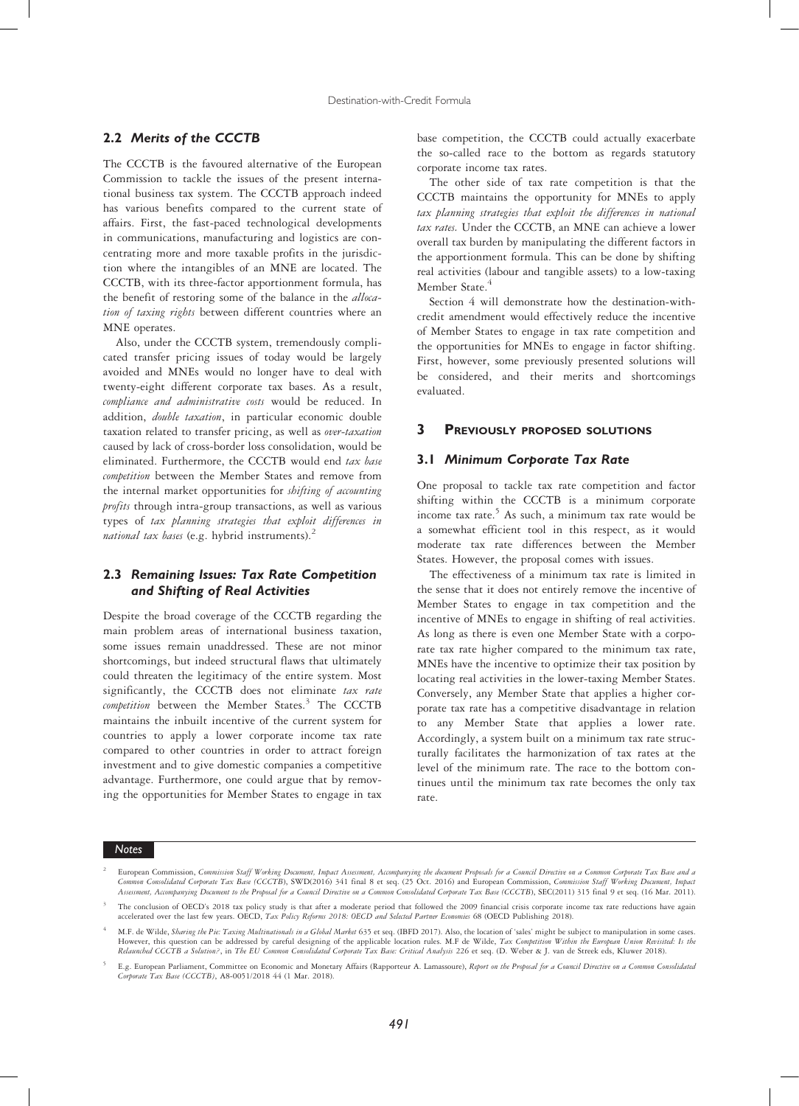# 2.2 Merits of the CCCTB

The CCCTB is the favoured alternative of the European Commission to tackle the issues of the present international business tax system. The CCCTB approach indeed has various benefits compared to the current state of affairs. First, the fast-paced technological developments in communications, manufacturing and logistics are concentrating more and more taxable profits in the jurisdiction where the intangibles of an MNE are located. The CCCTB, with its three-factor apportionment formula, has the benefit of restoring some of the balance in the allocation of taxing rights between different countries where an MNE operates.

Also, under the CCCTB system, tremendously complicated transfer pricing issues of today would be largely avoided and MNEs would no longer have to deal with twenty-eight different corporate tax bases. As a result, compliance and administrative costs would be reduced. In addition, *double taxation*, in particular economic double taxation related to transfer pricing, as well as over-taxation caused by lack of cross-border loss consolidation, would be eliminated. Furthermore, the CCCTB would end tax base competition between the Member States and remove from the internal market opportunities for shifting of accounting profits through intra-group transactions, as well as various types of tax planning strategies that exploit differences in national tax bases (e.g. hybrid instruments).<sup>2</sup>

# 2.3 Remaining Issues: Tax Rate Competition and Shifting of Real Activities

Despite the broad coverage of the CCCTB regarding the main problem areas of international business taxation, some issues remain unaddressed. These are not minor shortcomings, but indeed structural flaws that ultimately could threaten the legitimacy of the entire system. Most significantly, the CCCTB does not eliminate tax rate  $\emph{completion}$  between the Member States. $^3$  The CCCTB maintains the inbuilt incentive of the current system for countries to apply a lower corporate income tax rate compared to other countries in order to attract foreign investment and to give domestic companies a competitive advantage. Furthermore, one could argue that by removing the opportunities for Member States to engage in tax base competition, the CCCTB could actually exacerbate the so-called race to the bottom as regards statutory corporate income tax rates.

The other side of tax rate competition is that the CCCTB maintains the opportunity for MNEs to apply tax planning strategies that exploit the differences in national tax rates. Under the CCCTB, an MNE can achieve a lower overall tax burden by manipulating the different factors in the apportionment formula. This can be done by shifting real activities (labour and tangible assets) to a low-taxing Member State.<sup>4</sup>

Section 4 will demonstrate how the destination-withcredit amendment would effectively reduce the incentive of Member States to engage in tax rate competition and the opportunities for MNEs to engage in factor shifting. First, however, some previously presented solutions will be considered, and their merits and shortcomings evaluated.

## 3 PREVIOUSLY PROPOSED SOLUTIONS

#### 3.1 Minimum Corporate Tax Rate

One proposal to tackle tax rate competition and factor shifting within the CCCTB is a minimum corporate income tax rate.<sup>5</sup> As such, a minimum tax rate would be a somewhat efficient tool in this respect, as it would moderate tax rate differences between the Member States. However, the proposal comes with issues.

The effectiveness of a minimum tax rate is limited in the sense that it does not entirely remove the incentive of Member States to engage in tax competition and the incentive of MNEs to engage in shifting of real activities. As long as there is even one Member State with a corporate tax rate higher compared to the minimum tax rate, MNEs have the incentive to optimize their tax position by locating real activities in the lower-taxing Member States. Conversely, any Member State that applies a higher corporate tax rate has a competitive disadvantage in relation to any Member State that applies a lower rate. Accordingly, a system built on a minimum tax rate structurally facilitates the harmonization of tax rates at the level of the minimum rate. The race to the bottom continues until the minimum tax rate becomes the only tax rate.

# Notes

<sup>&</sup>lt;sup>2</sup> European Commission, Commission Staff Working Document, Impact Assessment, Accompanying the document Proposals for a Council Directive on a Common Corporate Tax Base and a<br>Common Consolidated Corporate Tax Base (CCCTB) Assessment, Accompanying Document to the Proposal for a Council Directive on a Common Consolidated Corporate Tax Base (CCCTB), SEC(2011) 315 final 9 et seq. (16 Mar. 2011).

The conclusion of OECD's 2018 tax policy study is that after a moderate period that followed the 2009 financial crisis corporate income tax rate reductions have again accelerated over the last few years. OECD, Tax Policy Reforms 2018: OECD and Selected Partner Economies 68 (OECD Publishing 2018).

M.F. de Wilde, Sharing the Pie: Taxing Multinationals in a Global Market 635 et seq. (IBFD 2017). Also, the location of 'sales' might be subject to manipulation in some cases. However, this question can be addressed by careful designing of the applicable location rules. M.F de Wilde, Tax Competition Within the European Union Revisited: Is the Relaunched CCCTB a Solution?, in The EU Common Consolidated Corporate Tax Base: Critical Analysis 226 et seq. (D. Weber & J. van de Streek eds, Kluwer 2018).

E.g. European Parliament, Committee on Economic and Monetary Affairs (Rapporteur A. Lamassoure), Report on the Proposal for a Council Directive on a Common Consolidated Corporate Tax Base (CCCTB), A8-0051/2018 44 (1 Mar. 2018).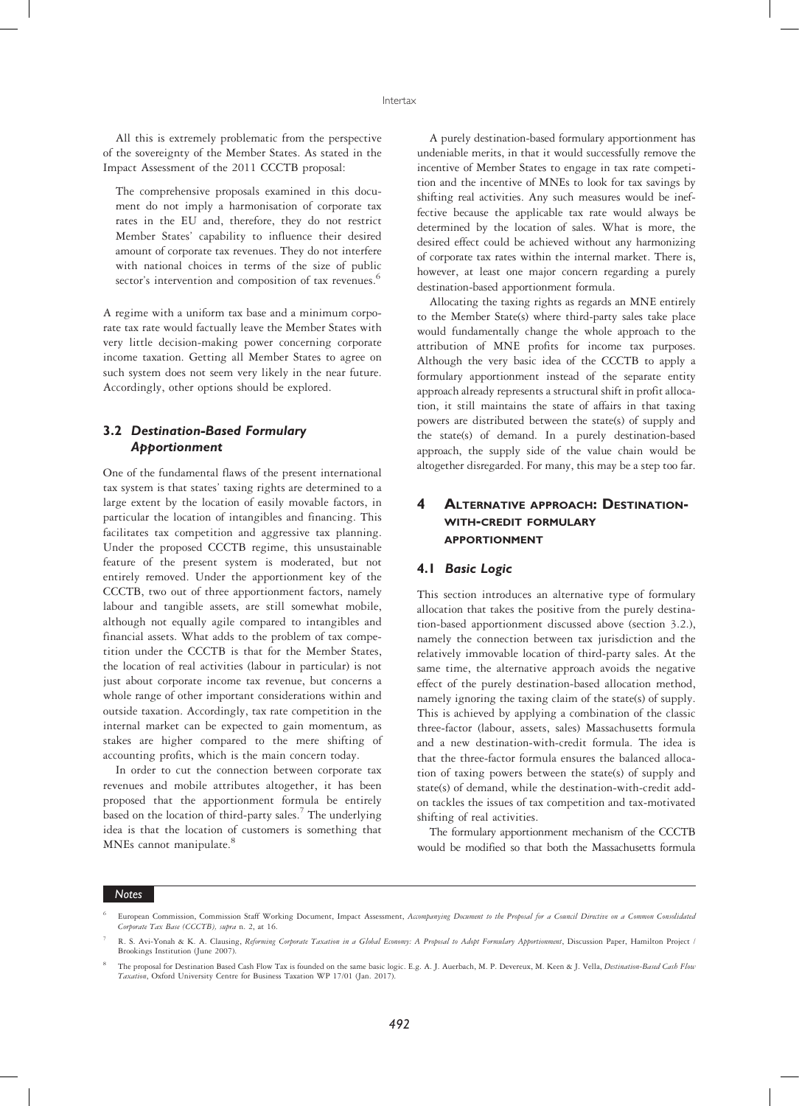All this is extremely problematic from the perspective of the sovereignty of the Member States. As stated in the Impact Assessment of the 2011 CCCTB proposal:

The comprehensive proposals examined in this document do not imply a harmonisation of corporate tax rates in the EU and, therefore, they do not restrict Member States' capability to influence their desired amount of corporate tax revenues. They do not interfere with national choices in terms of the size of public sector's intervention and composition of tax revenues.<sup>6</sup>

A regime with a uniform tax base and a minimum corporate tax rate would factually leave the Member States with very little decision-making power concerning corporate income taxation. Getting all Member States to agree on such system does not seem very likely in the near future. Accordingly, other options should be explored.

# 3.2 Destination-Based Formulary Apportionment

One of the fundamental flaws of the present international tax system is that states' taxing rights are determined to a large extent by the location of easily movable factors, in particular the location of intangibles and financing. This facilitates tax competition and aggressive tax planning. Under the proposed CCCTB regime, this unsustainable feature of the present system is moderated, but not entirely removed. Under the apportionment key of the CCCTB, two out of three apportionment factors, namely labour and tangible assets, are still somewhat mobile, although not equally agile compared to intangibles and financial assets. What adds to the problem of tax competition under the CCCTB is that for the Member States, the location of real activities (labour in particular) is not just about corporate income tax revenue, but concerns a whole range of other important considerations within and outside taxation. Accordingly, tax rate competition in the internal market can be expected to gain momentum, as stakes are higher compared to the mere shifting of accounting profits, which is the main concern today.

In order to cut the connection between corporate tax revenues and mobile attributes altogether, it has been proposed that the apportionment formula be entirely based on the location of third-party sales.<sup>7</sup> The underlying idea is that the location of customers is something that MNEs cannot manipulate.<sup>8</sup>

A purely destination-based formulary apportionment has undeniable merits, in that it would successfully remove the incentive of Member States to engage in tax rate competition and the incentive of MNEs to look for tax savings by shifting real activities. Any such measures would be ineffective because the applicable tax rate would always be determined by the location of sales. What is more, the desired effect could be achieved without any harmonizing of corporate tax rates within the internal market. There is, however, at least one major concern regarding a purely destination-based apportionment formula.

Allocating the taxing rights as regards an MNE entirely to the Member State(s) where third-party sales take place would fundamentally change the whole approach to the attribution of MNE profits for income tax purposes. Although the very basic idea of the CCCTB to apply a formulary apportionment instead of the separate entity approach already represents a structural shift in profit allocation, it still maintains the state of affairs in that taxing powers are distributed between the state(s) of supply and the state(s) of demand. In a purely destination-based approach, the supply side of the value chain would be altogether disregarded. For many, this may be a step too far.

# 4 ALTERNATIVE APPROACH: DESTINATION-WITH-CREDIT FORMULARY APPORTIONMENT

## 4.1 Basic Logic

This section introduces an alternative type of formulary allocation that takes the positive from the purely destination-based apportionment discussed above (section 3.2.), namely the connection between tax jurisdiction and the relatively immovable location of third-party sales. At the same time, the alternative approach avoids the negative effect of the purely destination-based allocation method, namely ignoring the taxing claim of the state(s) of supply. This is achieved by applying a combination of the classic three-factor (labour, assets, sales) Massachusetts formula and a new destination-with-credit formula. The idea is that the three-factor formula ensures the balanced allocation of taxing powers between the state(s) of supply and state(s) of demand, while the destination-with-credit addon tackles the issues of tax competition and tax-motivated shifting of real activities.

The formulary apportionment mechanism of the CCCTB would be modified so that both the Massachusetts formula

#### Notes

European Commission, Commission Staff Working Document, Impact Assessment, Accompanying Document to the Proposal for a Council Directive on a Common Consolidated Corporate Tax Base (CCCTB), supra n. 2, at 16.

R. S. Avi-Yonah & K. A. Clausing, Reforming Corporate Taxation in a Global Economy: A Proposal to Adopt Formulary Apportionment, Discussion Paper, Hamilton Project / Brookings Institution (June 2007).

The proposal for Destination Based Cash Flow Tax is founded on the same basic logic. E.g. A. J. Auerbach, M. P. Devereux, M. Keen & J. Vella, Destination-Based Cash Flow Taxation, Oxford University Centre for Business Taxation WP 17/01 (Jan. 2017).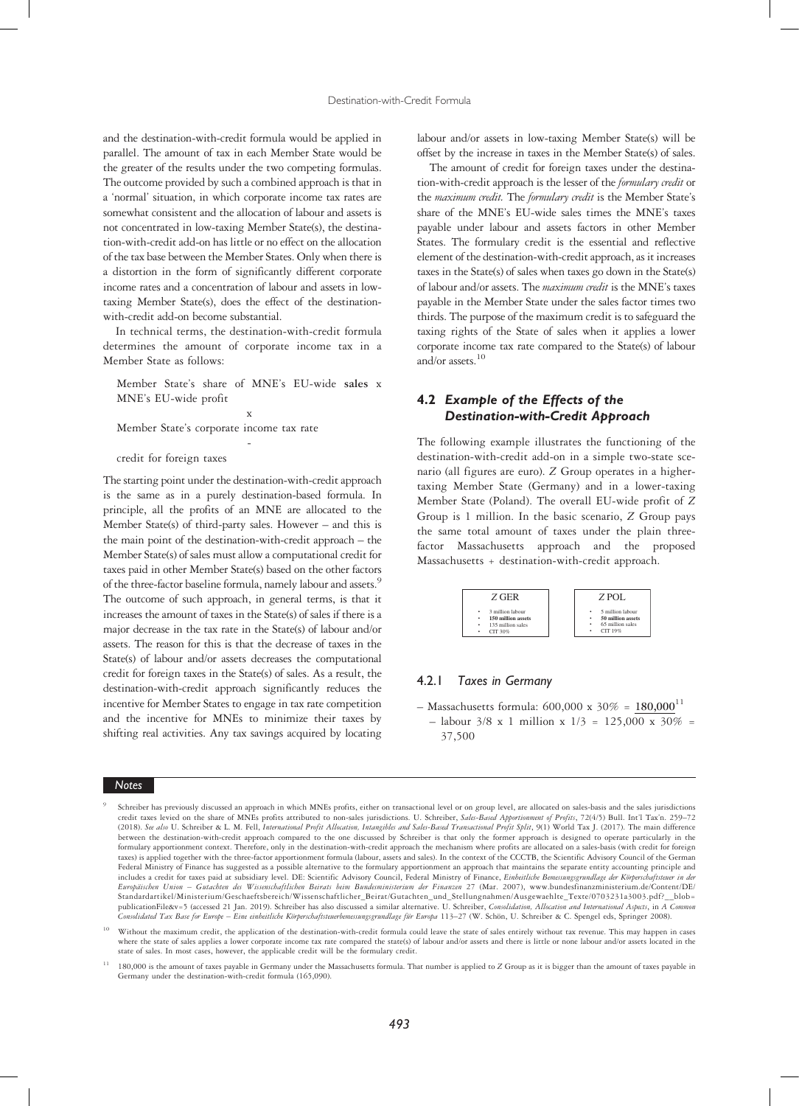and the destination-with-credit formula would be applied in parallel. The amount of tax in each Member State would be the greater of the results under the two competing formulas. The outcome provided by such a combined approach is that in a 'normal' situation, in which corporate income tax rates are somewhat consistent and the allocation of labour and assets is not concentrated in low-taxing Member State(s), the destination-with-credit add-on has little or no effect on the allocation of the tax base between the Member States. Only when there is a distortion in the form of significantly different corporate income rates and a concentration of labour and assets in lowtaxing Member State(s), does the effect of the destinationwith-credit add-on become substantial.

In technical terms, the destination-with-credit formula determines the amount of corporate income tax in a Member State as follows:

Member State's share of MNE's EU-wide sales <sup>x</sup> MNE's EU-wide profit

-

x

Member State's corporate income tax rate

#### credit for foreign taxes

The starting point under the destination-with-credit approach is the same as in a purely destination-based formula. In principle, all the profits of an MNE are allocated to the Member State(s) of third-party sales. However – and this is the main point of the destination-with-credit approach – the Member State(s) of sales must allow a computational credit for taxes paid in other Member State(s) based on the other factors of the three-factor baseline formula, namely labour and assets.<sup>9</sup> The outcome of such approach, in general terms, is that it increases the amount of taxes in the State(s) of sales if there is a major decrease in the tax rate in the State(s) of labour and/or assets. The reason for this is that the decrease of taxes in the State(s) of labour and/or assets decreases the computational credit for foreign taxes in the State(s) of sales. As a result, the destination-with-credit approach significantly reduces the incentive for Member States to engage in tax rate competition and the incentive for MNEs to minimize their taxes by shifting real activities. Any tax savings acquired by locating

# **Notes**

labour and/or assets in low-taxing Member State(s) will be offset by the increase in taxes in the Member State(s) of sales.

The amount of credit for foreign taxes under the destination-with-credit approach is the lesser of the formulary credit or the maximum credit. The formulary credit is the Member State's share of the MNE's EU-wide sales times the MNE's taxes payable under labour and assets factors in other Member States. The formulary credit is the essential and reflective element of the destination-with-credit approach, as it increases taxes in the State(s) of sales when taxes go down in the State(s) of labour and/or assets. The maximum credit is the MNE's taxes payable in the Member State under the sales factor times two thirds. The purpose of the maximum credit is to safeguard the taxing rights of the State of sales when it applies a lower corporate income tax rate compared to the State(s) of labour and/or assets.<sup>10</sup>

# 4.2 Example of the Effects of the Destination-with-Credit Approach

The following example illustrates the functioning of the destination-with-credit add-on in a simple two-state scenario (all figures are euro). Z Group operates in a highertaxing Member State (Germany) and in a lower-taxing Member State (Poland). The overall EU-wide profit of Z Group is 1 million. In the basic scenario, Z Group pays the same total amount of taxes under the plain threefactor Massachusetts approach and the proposed Massachusetts + destination-with-credit approach.

| Z GER              | Z POL             |
|--------------------|-------------------|
| ٠                  | 5 million labour  |
| 3 million labour   | ٠                 |
| 150 million assets | 50 million assets |
| ٠                  | ٠                 |
| ٠                  | 65 million sales  |
| 135 million sales  | ٠                 |
| CIT 30%            | CIT19%            |
| ٠                  | ٠                 |

# 4.2.1 Taxes in Germany

– Massachusetts formula:  $600,000 \times 30\% = 180,000^{11}$  $-$  labour 3/8 x 1 million x  $1/3 = 125,000 \times 30\% =$ 37,500

<sup>9</sup> Schreiber has previously discussed an approach in which MNEs profits, either on transactional level or on group level, are allocated on sales-basis and the sales jurisdictions credit taxes levied on the share of MNEs profits attributed to non-sales jurisdictions. U. Schreiber, Sales-Based Apportionment of Profits, 72(4/5) Bull. Int'l Tax'n. 259-72 (2018). See also U. Schreiber & L. M. Fell, International Profit Allocation, Intangibles and Sales-Based Transactional Profit Split, 9(1) World Tax J. (2017). The main difference between the destination-with-credit approach compared to the one discussed by Schreiber is that only the former approach is designed to operate particularly in the formulary apportionment context. Therefore, only in the destination-with-credit approach the mechanism where profits are allocated on a sales-basis (with credit for foreign taxes) is applied together with the three-factor apportionment formula (labour, assets and sales). In the context of the CCCTB, the Scientific Advisory Council of the German Federal Ministry of Finance has suggested as a possible alternative to the formulary apportionment an approach that maintains the separate entity accounting principle and includes a credit for taxes paid at subsidiary level. DE: Scientific Advisory Council, Federal Ministry of Finance, Einheitliche Bemessungsgrundlage der Körperschaftsteuer in der Europäischen Union – Gutachten des Wissenschaftlichen Beirats beim Bundesministerium der Finanzen 27 (Mar. 2007), www.bundesfinanzministerium.de/Content/DE/ Standardartikel/Ministerium/Geschaeftsbereich/Wissenschaftlicher\_Beirat/Gutachten\_und\_Stellungnahmen/Ausgewaehlte\_Texte/0703231a3003.pdf?\_\_blob= publicationFile&v=5 (accessed 21 Jan. 2019). Schreiber has also discussed a similar alternative. U. Schreiber, Consolidation, Allocation and International Aspects, in A Com Consolidated Tax Base for Europe – Eine einheitliche Körperschaftsteuerbemessungsgrundlage für Europa 113–27 (W. Schön, U. Schreiber & C. Spengel eds, Springer 2008).

<sup>10</sup> Without the maximum credit, the application of the destination-with-credit formula could leave the state of sales entirely without tax revenue. This may happen in cases where the state of sales applies a lower corporate income tax rate compared the state(s) of labour and/or assets and there is little or none labour and/or assets located in the state of sales. In most cases, however, the applicable credit will be the formulary credit.

<sup>180,000</sup> is the amount of taxes payable in Germany under the Massachusetts formula. That number is applied to Z Group as it is bigger than the amount of taxes payable in Germany under the destination-with-credit formula (165,090).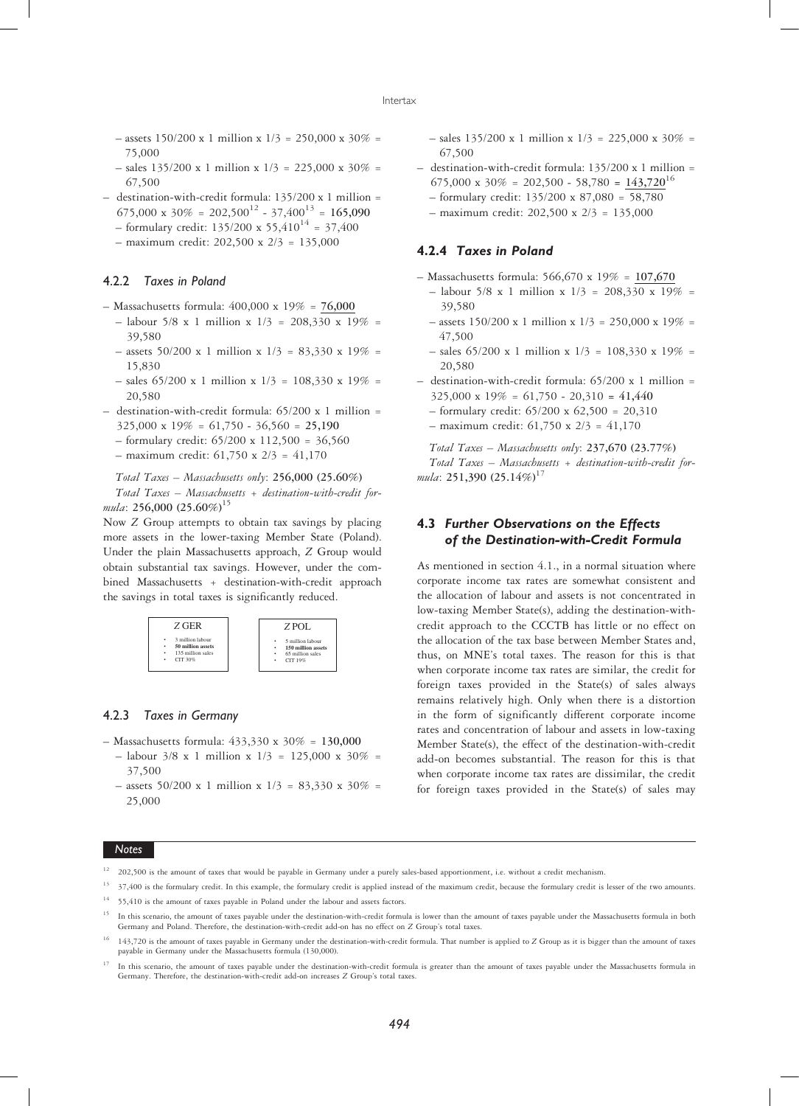- $-$  assets 150/200 x 1 million x 1/3 = 250,000 x 30% = 75,000
- $-$  sales 135/200 x 1 million x 1/3 = 225,000 x 30% = 67,500
- destination-with-credit formula: 135/200 x 1 million = 675,000 x  $30\% = 202,500^{12} - 37,400^{13} = 165,090$ 
	- formulary credit:  $135/200 \times 55,410^{14} = 37,400$
	- $-$  maximum credit: 202,500 x 2/3 = 135,000

## 4.2.2 Taxes in Poland

- Massachusetts formula: 400,000 x 19% = 76,000
	- $-$  labour 5/8 x 1 million x  $1/3 = 208,330$  x  $19\% =$ 39,580
	- $-$  assets 50/200 x 1 million x  $1/3 = 83,330$  x  $19\% =$ 15,830
	- $-$  sales 65/200 x 1 million x 1/3 = 108,330 x 19% = 20,580
- destination-with-credit formula: 65/200 x 1 million =  $325,000 \times 19\% = 61,750 - 36,560 = 25,190$ 
	- formulary credit: 65/200 x 112,500 = 36,560
	- $-$  maximum credit: 61,750 x 2/3 = 41,170

Total Taxes – Massachusetts only: 256,000 (25.60%) Total Taxes – Massachusetts + destination-with-credit formula: 256,000 (25.60%)<sup>15</sup>

Now Z Group attempts to obtain tax savings by placing more assets in the lower-taxing Member State (Poland). Under the plain Massachusetts approach, Z Group would obtain substantial tax savings. However, under the combined Massachusetts + destination-with-credit approach the savings in total taxes is significantly reduced.



## 4.2.3 Taxes in Germany

- Massachusetts formula: 433,330 x 30% = 130,000
- $-$  labour 3/8 x 1 million x 1/3 = 125,000 x 30% = 37,500
- $-$  assets 50/200 x 1 million x 1/3 = 83,330 x 30% = 25,000

 $-$  sales 135/200 x 1 million x 1/3 = 225,000 x 30% = 67,500

- destination-with-credit formula: 135/200 x 1 million = 675,000 x 30\% = 202,500 - 58,780 =  $143,720^{16}$ 
	- formulary credit: 135/200 x 87,080 = 58,780
	- maximum credit: 202,500 x 2/3 = 135,000

# 4.2.4 Taxes in Poland

- Massachusetts formula: 566,670 x 19% = 107,670
	- $-$  labour 5/8 x 1 million x 1/3 = 208,330 x 19% = 39,580
	- $-$  assets 150/200 x 1 million x 1/3 = 250,000 x 19% = 47,500
	- $-$  sales 65/200 x 1 million x 1/3 = 108,330 x 19% = 20,580
- $-$  destination-with-credit formula: 65/200 x 1 million =  $325,000 \times 19\% = 61,750 - 20,310 = 41,440$ 
	- formulary credit: 65/200 x 62,500 = 20,310
	- $-$  maximum credit: 61,750 x 2/3 = 41,170

Total Taxes – Massachusetts only: 237,670 (23.77%) Total Taxes – Massachusetts + destination-with-credit formula: 251,390  $(25.14\%)^{17}$ 

# 4.3 Further Observations on the Effects of the Destination-with-Credit Formula

As mentioned in section 4.1., in a normal situation where corporate income tax rates are somewhat consistent and the allocation of labour and assets is not concentrated in low-taxing Member State(s), adding the destination-withcredit approach to the CCCTB has little or no effect on the allocation of the tax base between Member States and, thus, on MNE's total taxes. The reason for this is that when corporate income tax rates are similar, the credit for foreign taxes provided in the State(s) of sales always remains relatively high. Only when there is a distortion in the form of significantly different corporate income rates and concentration of labour and assets in low-taxing Member State(s), the effect of the destination-with-credit add-on becomes substantial. The reason for this is that when corporate income tax rates are dissimilar, the credit for foreign taxes provided in the State(s) of sales may

## Notes

- <sup>12</sup> 202,500 is the amount of taxes that would be payable in Germany under a purely sales-based apportionment, i.e. without a credit mechanism.
- <sup>13</sup> 37,400 is the formulary credit. In this example, the formulary credit is applied instead of the maximum credit, because the formulary credit is lesser of the two amounts.  $14$  55,410 is the amount of taxes payable in Poland under the labour and assets factors.
- <sup>15</sup> In this scenario, the amount of taxes payable under the destination-with-credit formula is lower than the amount of taxes payable under the Massachusetts formula in both Germany and Poland. Therefore, the destination-with-credit add-on has no effect on Z Group's total taxes.
- <sup>16</sup> 143,720 is the amount of taxes payable in Germany under the destination-with-credit formula. That number is applied to Z Group as it is bigger than the amount of taxes payable in Germany under the Massachusetts formula (130,000).
- <sup>17</sup> In this scenario, the amount of taxes payable under the destination-with-credit formula is greater than the amount of taxes payable under the Massachusetts formula in Germany. Therefore, the destination-with-credit add-on increases Z Group's total taxes.